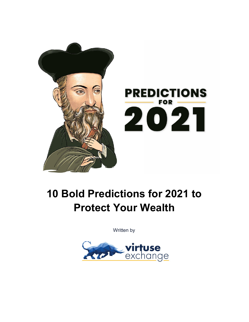

# **10 Bold Predictions for 2021 to Protect Your Wealth**

Written by

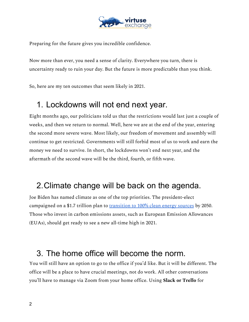

Preparing for the future gives you incredible confidence.

Now more than ever, you need a sense of clarity. Everywhere you turn, there is uncertainty ready to ruin your day. But the future is more predictable than you think.

So, here are my ten outcomes that seem likely in 2021.

#### 1. Lockdowns will not end next year.

Eight months ago, our politicians told us that the restrictions would last just a couple of weeks, and then we return to normal. Well, here we are at the end of the year, entering the second more severe wave. Most likely, our freedom of movement and assembly will continue to get restricted. Governments will still forbid most of us to work and earn the money we need to survive. In short, the lockdowns won't end next year, and the aftermath of the second wave will be the third, fourth, or fifth wave.

### 2.Climate change will be back on the agenda.

Joe Biden has named climate as one of the top priorities. The president-elect campaigned on a \$1.7 trillion plan to transition to [100% clean energy sources](https://joebiden.com/climate-plan/#) by 2050. Those who invest in carbon emissions assets, such as European Emission Allowances (EUAs), should get ready to see a new all-time high in 2021.

### 3. The home office will become the norm.

You will still have an option to go to the office if you'd like. But it will be different. The office will be a place to have crucial meetings, not do work. All other conversations you'll have to manage via Zoom from your home office. Using **Slack or Trello** for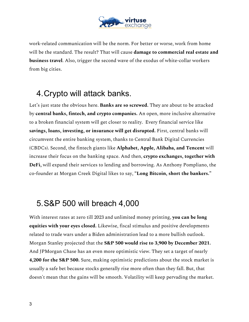

work-related communication will be the norm. For better or worse, work from home will be the standard. The result? That will cause **damage to commercial real estate and business travel**. Also, trigger the second wave of the exodus of white-collar workers from big cities.

## 4.Crypto will attack banks.

Let's just state the obvious here. **Banks are so screwed.** They are about to be attacked by **central banks, fintech, and crypto companies.** An open, more inclusive alternative to a broken financial system will get closer to reality. Every financial service like **savings, loans, investing, or insurance will get disrupted.** First, central banks will circumvent the entire banking system, thanks to Central Bank Digital Currencies (CBDCs). Second, the fintech giants like **Alphabet, Apple, Alibaba, and Tencent** will increase their focus on the banking space. And then, **crypto exchanges, together with DeFi,** will expand their services to lending and borrowing. As Anthony Pompliano, the co-founder at Morgan Creek Digital likes to say, **"Long Bitcoin, short the bankers."**

### 5.S&P 500 will breach 4,000

With interest rates at zero till 2023 and unlimited money printing, **you can be long equities with your eyes closed.** Likewise, fiscal stimulus and positive developments related to trade wars under a Biden administration lead to a more bullish outlook. Morgan Stanley projected that the **S&P 500 would rise to 3,900 by December 2021.** And JPMorgan Chase has an even more optimistic view. They set a target of nearly **4,200 for the S&P 500.** Sure, making optimistic predictions about the stock market is usually a safe bet because stocks generally rise more often than they fall. But, that doesn't mean that the gains will be smooth. Volatility will keep pervading the market.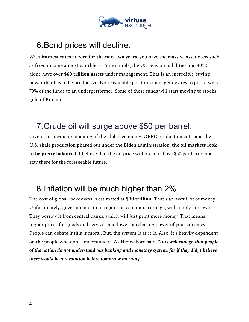

## 6.Bond prices will decline.

With **interest rates at zero for the next two years**, you have the massive asset class such as fixed income almost worthless. For example, the US pension liabilities and 401K alone have **over \$60 trillion assets** under management. That is an incredible buying power that has to be productive. No reasonable portfolio manager desires to put to work 70% of the funds to an underperformer. Some of these funds will start moving to stocks, gold of Bitcoin.

## 7.Crude oil will surge above \$50 per barrel.

Given the advancing opening of the global economy, OPEC production cuts, and the U.S. shale production phased out under the Biden administration; **the oil markets look to be pretty balanced**. I believe that the oil price will breach above \$50 per barrel and stay there for the foreseeable future.

### 8.Inflation will be much higher than 2%

The cost of global lockdowns is estimated at **\$30 trillion.** That's an awful lot of money. Unfortunately, governments, to mitigate the economic carnage, will simply borrow it. They borrow it from central banks, which will just print more money. That means higher prices for goods and services and lower purchasing power of your currency. People can debate if this is moral. But, the system is as it is. Also, it's heavily dependent on the people who don't understand it. As Henry Ford said, *"It is well enough that people of the nation do not understand our banking and monetary system, for if they did, I believe there would be a revolution before tomorrow morning."*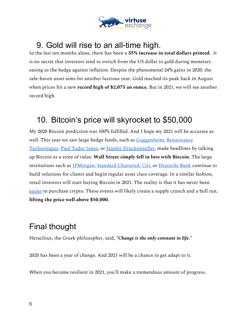

## 9. Gold will rise to an all-time high.

In the last ten months alone, there has been a **35% increase in total dollars printed.** It is no secret that investors tend to switch from the US dollar to gold during monetary easing as the hedge against inflation. Despite the phenomenal 24% gains in 2020, the safe-haven asset aims for another lustrous year. Gold reached its peak back in August when prices hit a new **record high of \$2,075 an ounce.** But in 2021, we will see another record high.

## 10. Bitcoin's price will skyrocket to \$50,000

My 2020 Bitcoin prediction was 100% fulfilled. And I hope my 2021 will be accurate as well. This year we saw large hedge funds, such as [Guggenheim,](https://markets.businessinsider.com/currencies/news/guggenheim-fund-bitcoin-investment-cryptocurrency-market-rally-grayscale-trust-btc-2020-11-1029849060) [Renaissance](https://www.theblockcrypto.com/post/62322/75-billion-hedge-fund-renaissance-technologies-is-eyeing-the-bitcoin-futures-market) [Technologies](https://www.theblockcrypto.com/post/62322/75-billion-hedge-fund-renaissance-technologies-is-eyeing-the-bitcoin-futures-market), Paul [Tudor Jones](https://news.bitcoin.com/paul-tudor-jones-bitcoin-apple-google/), or [Stanley Druckenmiller,](https://www.forbes.com/sites/billybambrough/2020/11/12/a-legendary-hedge-fund-billionaire-just-flipped-to-bitcoin-calling-it-better-than-gold/?sh=7037b2d6222f) made headlines by talking up Bitcoin as a store of value. **Wall Street simply fell in love with Bitcoin.** The large institutions such as *[JPMorgan](https://www.forbes.com/sites/billybambrough/2020/05/30/jp-morgan-bitcoins-biggest-enemy-suddenly-appears-to-be-going-all-in-on-crypto/?sh=1d39665223a6)*, *Standard Chartered*, *Citi*, or *Deutsche Bank* continue to build solutions for clients and begin regular asset class coverage. In a similar fashion, retail investors will start buying Bitcoin in 2021. The reality is that it has never been [easier](https://www.coindesk.com/bitcoin-trading-fees-on-paypal-robinhood-cash-app-and-coinbase-what-to-know) to purchase crypto. These events will likely create a supply crunch and a bull run, **lifting the price well above \$50,000.**

## Final thought

Heraclitus, the Greek philosopher, said, *"Change is the only constant in life."*

2020 has been a year of change. And 2021 will be a chance to get adapt to it.

When you become resilient in 2021, you'll make a tremendous amount of progress.